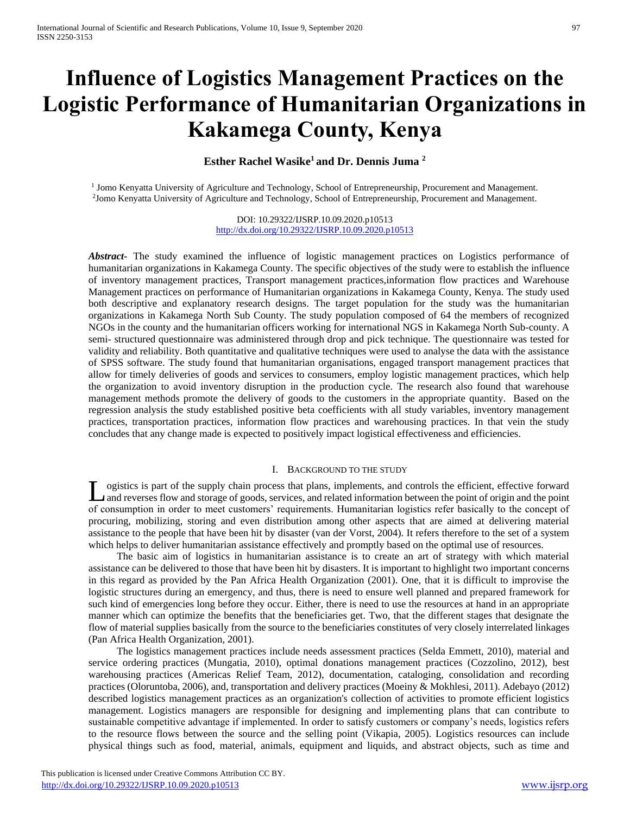# **Influence of Logistics Management Practices on the Logistic Performance of Humanitarian Organizations in Kakamega County, Kenya**

# **Esther Rachel Wasike<sup>1</sup>and Dr. Dennis Juma <sup>2</sup>**

<sup>1</sup> Jomo Kenyatta University of Agriculture and Technology, School of Entrepreneurship, Procurement and Management. 2 Jomo Kenyatta University of Agriculture and Technology, School of Entrepreneurship, Procurement and Management.

> DOI: 10.29322/IJSRP.10.09.2020.p10513 <http://dx.doi.org/10.29322/IJSRP.10.09.2020.p10513>

*Abstract***-** The study examined the influence of logistic management practices on Logistics performance of humanitarian organizations in Kakamega County. The specific objectives of the study were to establish the influence of inventory management practices, Transport management practices,information flow practices and Warehouse Management practices on performance of Humanitarian organizations in Kakamega County, Kenya. The study used both descriptive and explanatory research designs. The target population for the study was the humanitarian organizations in Kakamega North Sub County. The study population composed of 64 the members of recognized NGOs in the county and the humanitarian officers working for international NGS in Kakamega North Sub-county. A semi- structured questionnaire was administered through drop and pick technique. The questionnaire was tested for validity and reliability. Both quantitative and qualitative techniques were used to analyse the data with the assistance of SPSS software. The study found that humanitarian organisations, engaged transport management practices that allow for timely deliveries of goods and services to consumers, employ logistic management practices, which help the organization to avoid inventory disruption in the production cycle. The research also found that warehouse management methods promote the delivery of goods to the customers in the appropriate quantity. Based on the regression analysis the study established positive beta coefficients with all study variables, inventory management practices, transportation practices, information flow practices and warehousing practices. In that vein the study concludes that any change made is expected to positively impact logistical effectiveness and efficiencies.

### I. BACKGROUND TO THE STUDY

ogistics is part of the supply chain process that plans, implements, and controls the efficient, effective forward and reverses flow and storage of goods, services, and related information between the point of origin and the point Logistics is part of the supply chain process that plans, implements, and controls the efficient, effective forward<br>And reverses flow and storage of goods, services, and related information between the point of origin and procuring, mobilizing, storing and even distribution among other aspects that are aimed at delivering material assistance to the people that have been hit by disaster (van der Vorst, 2004). It refers therefore to the set of a system which helps to deliver humanitarian assistance effectively and promptly based on the optimal use of resources.

 The basic aim of logistics in humanitarian assistance is to create an art of strategy with which material assistance can be delivered to those that have been hit by disasters. It is important to highlight two important concerns in this regard as provided by the Pan Africa Health Organization (2001). One, that it is difficult to improvise the logistic structures during an emergency, and thus, there is need to ensure well planned and prepared framework for such kind of emergencies long before they occur. Either, there is need to use the resources at hand in an appropriate manner which can optimize the benefits that the beneficiaries get. Two, that the different stages that designate the flow of material supplies basically from the source to the beneficiaries constitutes of very closely interrelated linkages (Pan Africa Health Organization, 2001).

 The logistics management practices include needs assessment practices (Selda Emmett, 2010), material and service ordering practices (Mungatia, 2010), optimal donations management practices (Cozzolino, 2012), best warehousing practices (Americas Relief Team, 2012), documentation, cataloging, consolidation and recording practices (Oloruntoba, 2006), and, transportation and delivery practices (Moeiny & Mokhlesi, 2011). Adebayo (2012) described logistics management practices as an organization's collection of activities to promote efficient logistics management. Logistics managers are responsible for designing and implementing plans that can contribute to sustainable competitive advantage if implemented. In order to satisfy customers or company's needs, logistics refers to the resource flows between the source and the selling point (Vikapia, 2005). Logistics resources can include physical things such as food, material, animals, equipment and liquids, and abstract objects, such as time and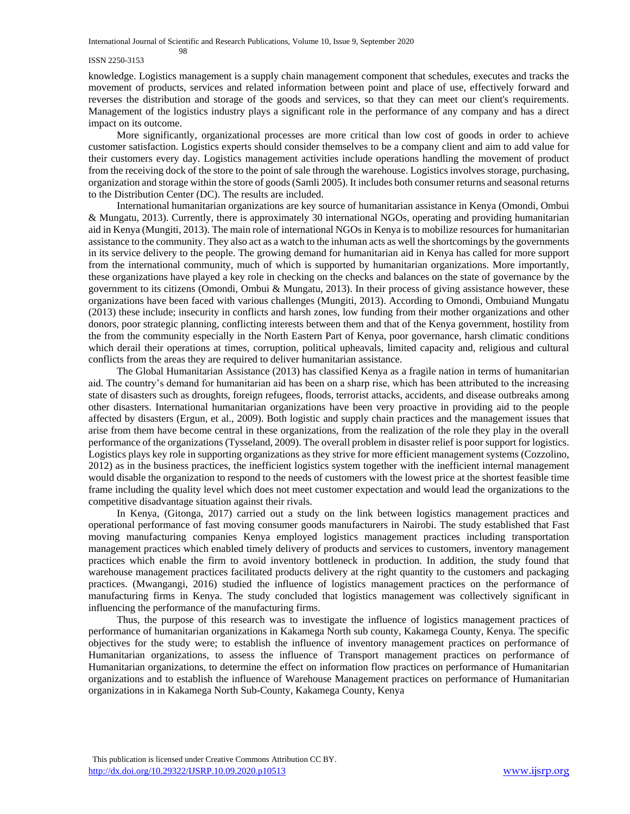International Journal of Scientific and Research Publications, Volume 10, Issue 9, September 2020

#### ISSN 2250-3153

98

knowledge. Logistics management is a supply chain management component that schedules, executes and tracks the movement of products, services and related information between point and place of use, effectively forward and reverses the distribution and storage of the goods and services, so that they can meet our client's requirements. Management of the logistics industry plays a significant role in the performance of any company and has a direct impact on its outcome.

 More significantly, organizational processes are more critical than low cost of goods in order to achieve customer satisfaction. Logistics experts should consider themselves to be a company client and aim to add value for their customers every day. Logistics management activities include operations handling the movement of product from the receiving dock of the store to the point of sale through the warehouse. Logistics involves storage, purchasing, organization and storage within the store of goods (Samli 2005). It includes both consumer returns and seasonal returns to the Distribution Center (DC). The results are included.

 International humanitarian organizations are key source of humanitarian assistance in Kenya (Omondi, Ombui & Mungatu, 2013). Currently, there is approximately 30 international NGOs, operating and providing humanitarian aid in Kenya (Mungiti, 2013). The main role of international NGOs in Kenya is to mobilize resources for humanitarian assistance to the community. They also act as a watch to the inhuman acts as well the shortcomings by the governments in its service delivery to the people. The growing demand for humanitarian aid in Kenya has called for more support from the international community, much of which is supported by humanitarian organizations. More importantly, these organizations have played a key role in checking on the checks and balances on the state of governance by the government to its citizens (Omondi, Ombui & Mungatu, 2013). In their process of giving assistance however, these organizations have been faced with various challenges (Mungiti, 2013). According to Omondi, Ombuiand Mungatu (2013) these include; insecurity in conflicts and harsh zones, low funding from their mother organizations and other donors, poor strategic planning, conflicting interests between them and that of the Kenya government, hostility from the from the community especially in the North Eastern Part of Kenya, poor governance, harsh climatic conditions which derail their operations at times, corruption, political upheavals, limited capacity and, religious and cultural conflicts from the areas they are required to deliver humanitarian assistance.

 The Global Humanitarian Assistance (2013) has classified Kenya as a fragile nation in terms of humanitarian aid. The country's demand for humanitarian aid has been on a sharp rise, which has been attributed to the increasing state of disasters such as droughts, foreign refugees, floods, terrorist attacks, accidents, and disease outbreaks among other disasters. International humanitarian organizations have been very proactive in providing aid to the people affected by disasters (Ergun, et al., 2009). Both logistic and supply chain practices and the management issues that arise from them have become central in these organizations, from the realization of the role they play in the overall performance of the organizations (Tysseland, 2009). The overall problem in disaster relief is poor support for logistics. Logistics plays key role in supporting organizations as they strive for more efficient management systems (Cozzolino, 2012) as in the business practices, the inefficient logistics system together with the inefficient internal management would disable the organization to respond to the needs of customers with the lowest price at the shortest feasible time frame including the quality level which does not meet customer expectation and would lead the organizations to the competitive disadvantage situation against their rivals.

 In Kenya, (Gitonga, 2017) carried out a study on the link between logistics management practices and operational performance of fast moving consumer goods manufacturers in Nairobi. The study established that Fast moving manufacturing companies Kenya employed logistics management practices including transportation management practices which enabled timely delivery of products and services to customers, inventory management practices which enable the firm to avoid inventory bottleneck in production. In addition, the study found that warehouse management practices facilitated products delivery at the right quantity to the customers and packaging practices. (Mwangangi, 2016) studied the influence of logistics management practices on the performance of manufacturing firms in Kenya. The study concluded that logistics management was collectively significant in influencing the performance of the manufacturing firms.

 Thus, the purpose of this research was to investigate the influence of logistics management practices of performance of humanitarian organizations in Kakamega North sub county, Kakamega County, Kenya. The specific objectives for the study were; to establish the influence of inventory management practices on performance of Humanitarian organizations, to assess the influence of Transport management practices on performance of Humanitarian organizations, to determine the effect on information flow practices on performance of Humanitarian organizations and to establish the influence of Warehouse Management practices on performance of Humanitarian organizations in in Kakamega North Sub-County, Kakamega County, Kenya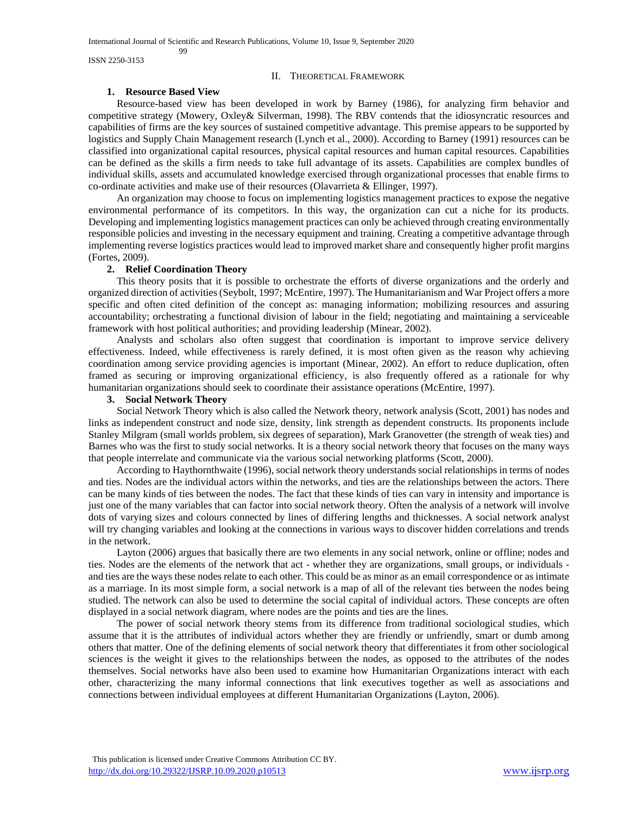ISSN 2250-3153

#### II. THEORETICAL FRAMEWORK

#### **1. Resource Based View**

99

 Resource-based view has been developed in work by Barney (1986), for analyzing firm behavior and competitive strategy (Mowery, Oxley& Silverman, 1998). The RBV contends that the idiosyncratic resources and capabilities of firms are the key sources of sustained competitive advantage. This premise appears to be supported by logistics and Supply Chain Management research (Lynch et al., 2000). According to Barney (1991) resources can be classified into organizational capital resources, physical capital resources and human capital resources. Capabilities can be defined as the skills a firm needs to take full advantage of its assets. Capabilities are complex bundles of individual skills, assets and accumulated knowledge exercised through organizational processes that enable firms to co-ordinate activities and make use of their resources (Olavarrieta & Ellinger, 1997).

 An organization may choose to focus on implementing logistics management practices to expose the negative environmental performance of its competitors. In this way, the organization can cut a niche for its products. Developing and implementing logistics management practices can only be achieved through creating environmentally responsible policies and investing in the necessary equipment and training. Creating a competitive advantage through implementing reverse logistics practices would lead to improved market share and consequently higher profit margins (Fortes, 2009).

#### **2. Relief Coordination Theory**

 This theory posits that it is possible to orchestrate the efforts of diverse organizations and the orderly and organized direction of activities (Seybolt, 1997; McEntire, 1997). The Humanitarianism and War Project offers a more specific and often cited definition of the concept as: managing information; mobilizing resources and assuring accountability; orchestrating a functional division of labour in the field; negotiating and maintaining a serviceable framework with host political authorities; and providing leadership (Minear, 2002).

 Analysts and scholars also often suggest that coordination is important to improve service delivery effectiveness. Indeed, while effectiveness is rarely defined, it is most often given as the reason why achieving coordination among service providing agencies is important (Minear, 2002). An effort to reduce duplication, often framed as securing or improving organizational efficiency, is also frequently offered as a rationale for why humanitarian organizations should seek to coordinate their assistance operations (McEntire, 1997).

#### **3. Social Network Theory**

 Social Network Theory which is also called the Network theory, network analysis (Scott, 2001) has nodes and links as independent construct and node size, density, link strength as dependent constructs. Its proponents include Stanley Milgram (small worlds problem, six degrees of separation), Mark Granovetter (the strength of weak ties) and Barnes who was the first to study social networks. It is a theory social network theory that focuses on the many ways that people interrelate and communicate via the various social networking platforms (Scott, 2000).

 According to Haythornthwaite (1996), social network theory understands social relationships in terms of nodes and ties. Nodes are the individual actors within the networks, and ties are the relationships between the actors. There can be many kinds of ties between the nodes. The fact that these kinds of ties can vary in intensity and importance is just one of the many variables that can factor into social network theory. Often the analysis of a network will involve dots of varying sizes and colours connected by lines of differing lengths and thicknesses. A social network analyst will try changing variables and looking at the connections in various ways to discover hidden correlations and trends in the network.

 Layton (2006) argues that basically there are two elements in any social network, online or offline; nodes and ties. Nodes are the elements of the network that act - whether they are organizations, small groups, or individuals and ties are the ways these nodes relate to each other. This could be as minor as an email correspondence or as intimate as a marriage. In its most simple form, a social network is a map of all of the relevant ties between the nodes being studied. The network can also be used to determine the social capital of individual actors. These concepts are often displayed in a social network diagram, where nodes are the points and ties are the lines.

 The power of social network theory stems from its difference from traditional sociological studies, which assume that it is the attributes of individual actors whether they are friendly or unfriendly, smart or dumb among others that matter. One of the defining elements of social network theory that differentiates it from other sociological sciences is the weight it gives to the relationships between the nodes, as opposed to the attributes of the nodes themselves. Social networks have also been used to examine how Humanitarian Organizations interact with each other, characterizing the many informal connections that link executives together as well as associations and connections between individual employees at different Humanitarian Organizations (Layton, 2006).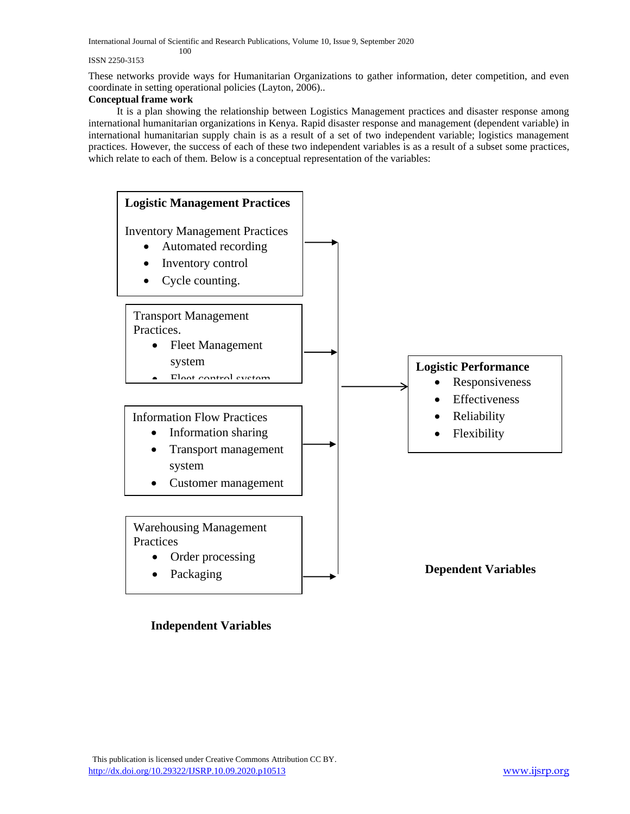#### ISSN 2250-3153

These networks provide ways for Humanitarian Organizations to gather information, deter competition, and even coordinate in setting operational policies (Layton, 2006)..

## **Conceptual frame work**

 It is a plan showing the relationship between Logistics Management practices and disaster response among international humanitarian organizations in Kenya. Rapid disaster response and management (dependent variable) in international humanitarian supply chain is as a result of a set of two independent variable; logistics management practices. However, the success of each of these two independent variables is as a result of a subset some practices, which relate to each of them. Below is a conceptual representation of the variables:



# **Independent Variables**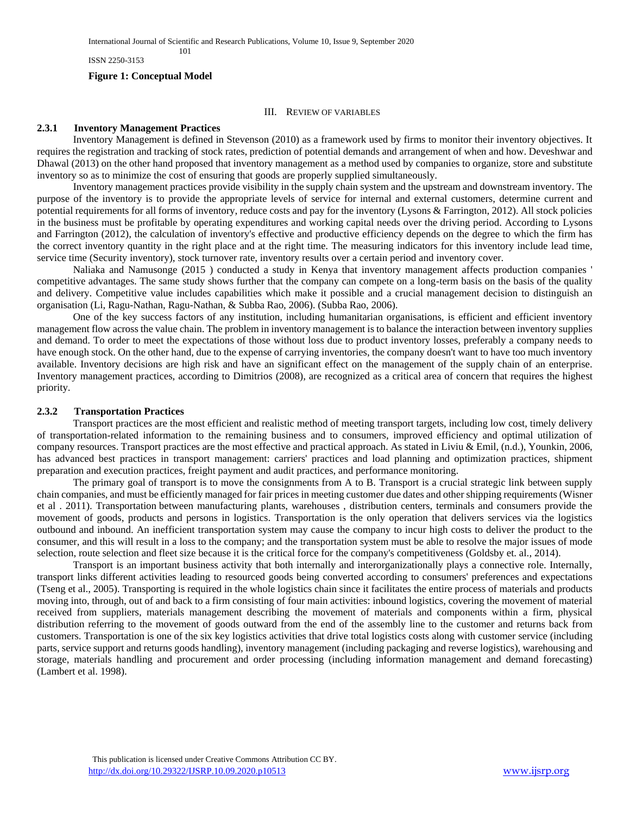ISSN 2250-3153

#### **Figure 1: Conceptual Model**

101

#### III. REVIEW OF VARIABLES

#### **2.3.1 Inventory Management Practices**

 Inventory Management is defined in Stevenson (2010) as a framework used by firms to monitor their inventory objectives. It requires the registration and tracking of stock rates, prediction of potential demands and arrangement of when and how. Deveshwar and Dhawal (2013) on the other hand proposed that inventory management as a method used by companies to organize, store and substitute inventory so as to minimize the cost of ensuring that goods are properly supplied simultaneously.

 Inventory management practices provide visibility in the supply chain system and the upstream and downstream inventory. The purpose of the inventory is to provide the appropriate levels of service for internal and external customers, determine current and potential requirements for all forms of inventory, reduce costs and pay for the inventory (Lysons & Farrington, 2012). All stock policies in the business must be profitable by operating expenditures and working capital needs over the driving period. According to Lysons and Farrington (2012), the calculation of inventory's effective and productive efficiency depends on the degree to which the firm has the correct inventory quantity in the right place and at the right time. The measuring indicators for this inventory include lead time, service time (Security inventory), stock turnover rate, inventory results over a certain period and inventory cover.

 Naliaka and Namusonge (2015 ) conducted a study in Kenya that inventory management affects production companies ' competitive advantages. The same study shows further that the company can compete on a long-term basis on the basis of the quality and delivery. Competitive value includes capabilities which make it possible and a crucial management decision to distinguish an organisation (Li, Ragu-Nathan, Ragu-Nathan, & Subba Rao, 2006). (Subba Rao, 2006).

 One of the key success factors of any institution, including humanitarian organisations, is efficient and efficient inventory management flow across the value chain. The problem in inventory management is to balance the interaction between inventory supplies and demand. To order to meet the expectations of those without loss due to product inventory losses, preferably a company needs to have enough stock. On the other hand, due to the expense of carrying inventories, the company doesn't want to have too much inventory available. Inventory decisions are high risk and have an significant effect on the management of the supply chain of an enterprise. Inventory management practices, according to Dimitrios (2008), are recognized as a critical area of concern that requires the highest priority.

#### **2.3.2 Transportation Practices**

 Transport practices are the most efficient and realistic method of meeting transport targets, including low cost, timely delivery of transportation-related information to the remaining business and to consumers, improved efficiency and optimal utilization of company resources. Transport practices are the most effective and practical approach. As stated in Liviu & Emil, (n.d.), Younkin, 2006, has advanced best practices in transport management: carriers' practices and load planning and optimization practices, shipment preparation and execution practices, freight payment and audit practices, and performance monitoring.

 The primary goal of transport is to move the consignments from A to B. Transport is a crucial strategic link between supply chain companies, and must be efficiently managed for fair prices in meeting customer due dates and other shipping requirements (Wisner et al . 2011). Transportation between manufacturing plants, warehouses , distribution centers, terminals and consumers provide the movement of goods, products and persons in logistics. Transportation is the only operation that delivers services via the logistics outbound and inbound. An inefficient transportation system may cause the company to incur high costs to deliver the product to the consumer, and this will result in a loss to the company; and the transportation system must be able to resolve the major issues of mode selection, route selection and fleet size because it is the critical force for the company's competitiveness (Goldsby et. al., 2014).

 Transport is an important business activity that both internally and interorganizationally plays a connective role. Internally, transport links different activities leading to resourced goods being converted according to consumers' preferences and expectations (Tseng et al., 2005). Transporting is required in the whole logistics chain since it facilitates the entire process of materials and products moving into, through, out of and back to a firm consisting of four main activities: inbound logistics, covering the movement of material received from suppliers, materials management describing the movement of materials and components within a firm, physical distribution referring to the movement of goods outward from the end of the assembly line to the customer and returns back from customers. Transportation is one of the six key logistics activities that drive total logistics costs along with customer service (including parts, service support and returns goods handling), inventory management (including packaging and reverse logistics), warehousing and storage, materials handling and procurement and order processing (including information management and demand forecasting) (Lambert et al. 1998).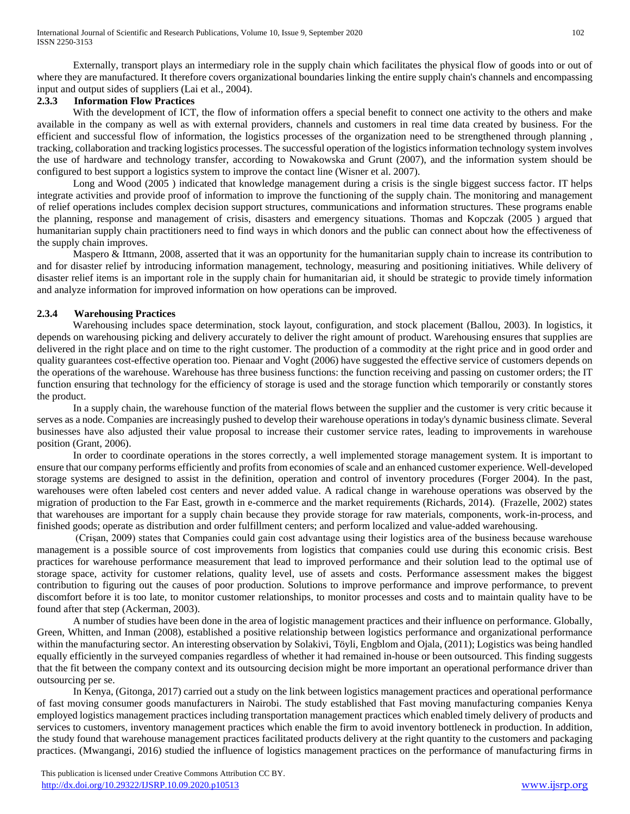Externally, transport plays an intermediary role in the supply chain which facilitates the physical flow of goods into or out of where they are manufactured. It therefore covers organizational boundaries linking the entire supply chain's channels and encompassing input and output sides of suppliers (Lai et al., 2004).

# **2.3.3 Information Flow Practices**

With the development of ICT, the flow of information offers a special benefit to connect one activity to the others and make available in the company as well as with external providers, channels and customers in real time data created by business. For the efficient and successful flow of information, the logistics processes of the organization need to be strengthened through planning , tracking, collaboration and tracking logistics processes. The successful operation of the logistics information technology system involves the use of hardware and technology transfer, according to Nowakowska and Grunt (2007), and the information system should be configured to best support a logistics system to improve the contact line (Wisner et al. 2007).

 Long and Wood (2005 ) indicated that knowledge management during a crisis is the single biggest success factor. IT helps integrate activities and provide proof of information to improve the functioning of the supply chain. The monitoring and management of relief operations includes complex decision support structures, communications and information structures. These programs enable the planning, response and management of crisis, disasters and emergency situations. Thomas and Kopczak (2005 ) argued that humanitarian supply chain practitioners need to find ways in which donors and the public can connect about how the effectiveness of the supply chain improves.

 Maspero & Ittmann, 2008, asserted that it was an opportunity for the humanitarian supply chain to increase its contribution to and for disaster relief by introducing information management, technology, measuring and positioning initiatives. While delivery of disaster relief items is an important role in the supply chain for humanitarian aid, it should be strategic to provide timely information and analyze information for improved information on how operations can be improved.

# **2.3.4 Warehousing Practices**

 Warehousing includes space determination, stock layout, configuration, and stock placement (Ballou, 2003). In logistics, it depends on warehousing picking and delivery accurately to deliver the right amount of product. Warehousing ensures that supplies are delivered in the right place and on time to the right customer. The production of a commodity at the right price and in good order and quality guarantees cost-effective operation too. Pienaar and Voght (2006) have suggested the effective service of customers depends on the operations of the warehouse. Warehouse has three business functions: the function receiving and passing on customer orders; the IT function ensuring that technology for the efficiency of storage is used and the storage function which temporarily or constantly stores the product.

 In a supply chain, the warehouse function of the material flows between the supplier and the customer is very critic because it serves as a node. Companies are increasingly pushed to develop their warehouse operations in today's dynamic business climate. Several businesses have also adjusted their value proposal to increase their customer service rates, leading to improvements in warehouse position (Grant, 2006).

 In order to coordinate operations in the stores correctly, a well implemented storage management system. It is important to ensure that our company performs efficiently and profits from economies of scale and an enhanced customer experience. Well-developed storage systems are designed to assist in the definition, operation and control of inventory procedures (Forger 2004). In the past, warehouses were often labeled cost centers and never added value. A radical change in warehouse operations was observed by the migration of production to the Far East, growth in e-commerce and the market requirements (Richards, 2014). (Frazelle, 2002) states that warehouses are important for a supply chain because they provide storage for raw materials, components, work-in-process, and finished goods; operate as distribution and order fulfillment centers; and perform localized and value-added warehousing.

 (Crişan, 2009) states that Companies could gain cost advantage using their logistics area of the business because warehouse management is a possible source of cost improvements from logistics that companies could use during this economic crisis. Best practices for warehouse performance measurement that lead to improved performance and their solution lead to the optimal use of storage space, activity for customer relations, quality level, use of assets and costs. Performance assessment makes the biggest contribution to figuring out the causes of poor production. Solutions to improve performance and improve performance, to prevent discomfort before it is too late, to monitor customer relationships, to monitor processes and costs and to maintain quality have to be found after that step (Ackerman, 2003).

 A number of studies have been done in the area of logistic management practices and their influence on performance. Globally, Green, Whitten, and Inman (2008), established a positive relationship between logistics performance and organizational performance within the manufacturing sector. An interesting observation by Solakivi, Töyli, Engblom and Ojala, (2011); Logistics was being handled equally efficiently in the surveyed companies regardless of whether it had remained in-house or been outsourced. This finding suggests that the fit between the company context and its outsourcing decision might be more important an operational performance driver than outsourcing per se.

 In Kenya, (Gitonga, 2017) carried out a study on the link between logistics management practices and operational performance of fast moving consumer goods manufacturers in Nairobi. The study established that Fast moving manufacturing companies Kenya employed logistics management practices including transportation management practices which enabled timely delivery of products and services to customers, inventory management practices which enable the firm to avoid inventory bottleneck in production. In addition, the study found that warehouse management practices facilitated products delivery at the right quantity to the customers and packaging practices. (Mwangangi, 2016) studied the influence of logistics management practices on the performance of manufacturing firms in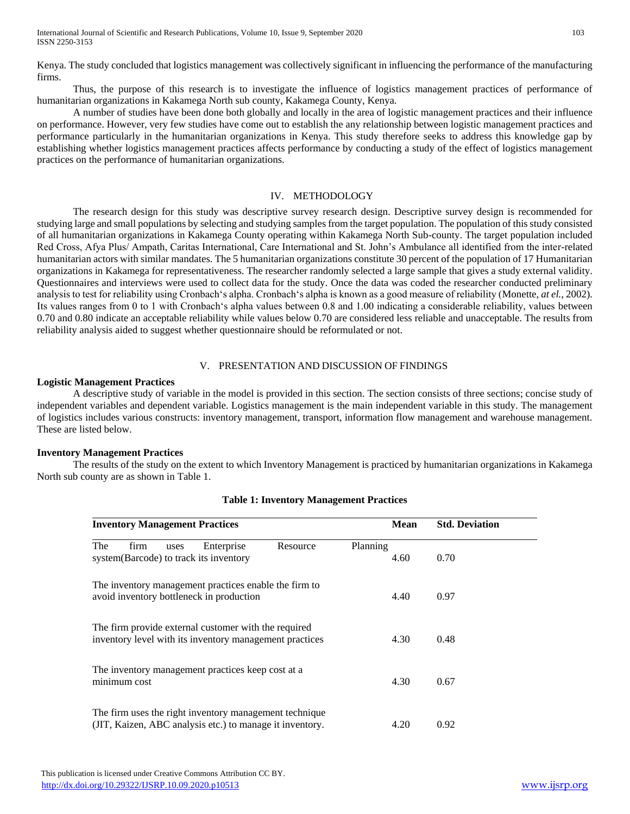Kenya. The study concluded that logistics management was collectively significant in influencing the performance of the manufacturing firms.

 Thus, the purpose of this research is to investigate the influence of logistics management practices of performance of humanitarian organizations in Kakamega North sub county, Kakamega County, Kenya.

 A number of studies have been done both globally and locally in the area of logistic management practices and their influence on performance. However, very few studies have come out to establish the any relationship between logistic management practices and performance particularly in the humanitarian organizations in Kenya. This study therefore seeks to address this knowledge gap by establishing whether logistics management practices affects performance by conducting a study of the effect of logistics management practices on the performance of humanitarian organizations.

## IV. METHODOLOGY

 The research design for this study was descriptive survey research design. Descriptive survey design is recommended for studying large and small populations by selecting and studying samples from the target population. The population of this study consisted of all humanitarian organizations in Kakamega County operating within Kakamega North Sub-county. The target population included Red Cross, Afya Plus/ Ampath, Caritas International, Care International and St. John's Ambulance all identified from the inter-related humanitarian actors with similar mandates. The 5 humanitarian organizations constitute 30 percent of the population of 17 Humanitarian organizations in Kakamega for representativeness. The researcher randomly selected a large sample that gives a study external validity. Questionnaires and interviews were used to collect data for the study. Once the data was coded the researcher conducted preliminary analysis to test for reliability using Cronbach's alpha. Cronbach's alpha is known as a good measure of reliability (Monette, *at el.,* 2002). Its values ranges from 0 to 1 with Cronbach's alpha values between 0.8 and 1.00 indicating a considerable reliability, values between 0.70 and 0.80 indicate an acceptable reliability while values below 0.70 are considered less reliable and unacceptable. The results from reliability analysis aided to suggest whether questionnaire should be reformulated or not.

## V. PRESENTATION AND DISCUSSION OF FINDINGS

## **Logistic Management Practices**

 A descriptive study of variable in the model is provided in this section. The section consists of three sections; concise study of independent variables and dependent variable. Logistics management is the main independent variable in this study. The management of logistics includes various constructs: inventory management, transport, information flow management and warehouse management. These are listed below.

## **Inventory Management Practices**

 The results of the study on the extent to which Inventory Management is practiced by humanitarian organizations in Kakamega North sub county are as shown in Table 1.

|     |              |      | <b>Inventory Management Practices</b>                                                                              |          | <b>Mean</b>      |      | <b>Std. Deviation</b> |  |
|-----|--------------|------|--------------------------------------------------------------------------------------------------------------------|----------|------------------|------|-----------------------|--|
| The | firm         | uses | Enterprise<br>system (Barcode) to track its inventory                                                              | Resource | Planning<br>4.60 | 0.70 |                       |  |
|     |              |      | The inventory management practices enable the firm to<br>avoid inventory bottleneck in production                  |          | 4.40             | 0.97 |                       |  |
|     |              |      | The firm provide external customer with the required<br>inventory level with its inventory management practices    |          | 4.30             | 0.48 |                       |  |
|     | minimum cost |      | The inventory management practices keep cost at a                                                                  |          | 4.30             | 0.67 |                       |  |
|     |              |      | The firm uses the right inventory management technique<br>(JIT, Kaizen, ABC analysis etc.) to manage it inventory. |          | 4.20             | 0.92 |                       |  |

# **Table 1: Inventory Management Practices**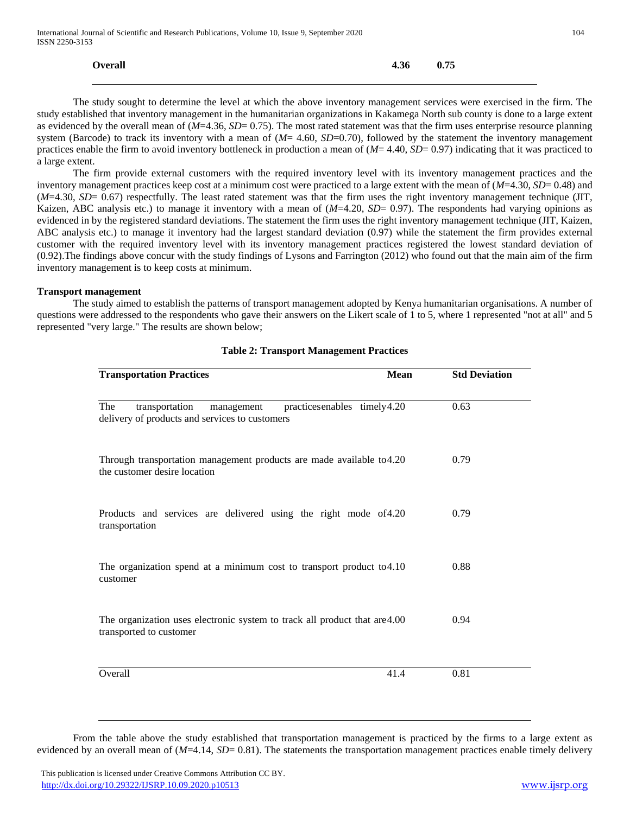| <b>Overall</b> | $4.36$ 0.75 |  |
|----------------|-------------|--|
|                |             |  |

 The study sought to determine the level at which the above inventory management services were exercised in the firm. The study established that inventory management in the humanitarian organizations in Kakamega North sub county is done to a large extent as evidenced by the overall mean of (*M*=4.36, *SD*= 0.75). The most rated statement was that the firm uses enterprise resource planning system (Barcode) to track its inventory with a mean of (*M*= 4.60, *SD*=0.70), followed by the statement the inventory management practices enable the firm to avoid inventory bottleneck in production a mean of ( $M=4.40$ ,  $SD=0.97$ ) indicating that it was practiced to a large extent.

 The firm provide external customers with the required inventory level with its inventory management practices and the inventory management practices keep cost at a minimum cost were practiced to a large extent with the mean of (*M*=4.30, *SD*= 0.48) and (*M*=4.30, *SD*= 0.67) respectfully. The least rated statement was that the firm uses the right inventory management technique (JIT, Kaizen, ABC analysis etc.) to manage it inventory with a mean of  $(M=4.20, SD= 0.97)$ . The respondents had varying opinions as evidenced in by the registered standard deviations. The statement the firm uses the right inventory management technique (JIT, Kaizen, ABC analysis etc.) to manage it inventory had the largest standard deviation (0.97) while the statement the firm provides external customer with the required inventory level with its inventory management practices registered the lowest standard deviation of (0.92).The findings above concur with the study findings of Lysons and Farrington (2012) who found out that the main aim of the firm inventory management is to keep costs at minimum.

#### **Transport management**

 The study aimed to establish the patterns of transport management adopted by Kenya humanitarian organisations. A number of questions were addressed to the respondents who gave their answers on the Likert scale of 1 to 5, where 1 represented "not at all" and 5 represented "very large." The results are shown below;

| <b>Transportation Practices</b><br><b>Mean</b>                                                                       | <b>Std Deviation</b> |
|----------------------------------------------------------------------------------------------------------------------|----------------------|
| The<br>practicesenables timely4.20<br>transportation<br>management<br>delivery of products and services to customers | 0.63                 |
| Through transportation management products are made available to 4.20<br>the customer desire location                | 0.79                 |
| Products and services are delivered using the right mode of 4.20<br>transportation                                   | 0.79                 |
| The organization spend at a minimum cost to transport product to 4.10<br>customer                                    | 0.88                 |
| The organization uses electronic system to track all product that are 4.00<br>transported to customer                | 0.94                 |
| Overall<br>41.4                                                                                                      | 0.81                 |

#### **Table 2: Transport Management Practices**

 From the table above the study established that transportation management is practiced by the firms to a large extent as evidenced by an overall mean of (*M*=4.14, *SD*= 0.81). The statements the transportation management practices enable timely delivery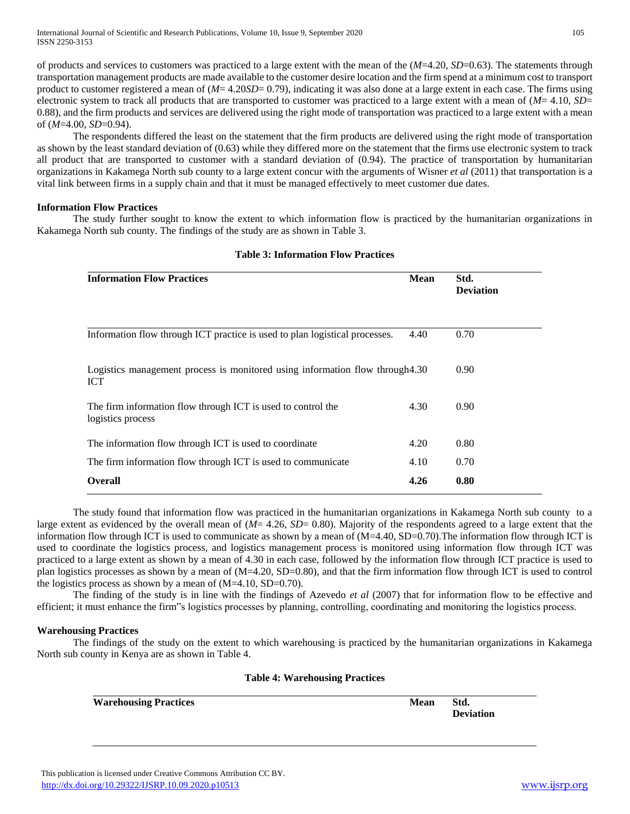of products and services to customers was practiced to a large extent with the mean of the (*M*=4.20, *SD*=0.63). The statements through transportation management products are made available to the customer desire location and the firm spend at a minimum cost to transport product to customer registered a mean of (*M*= 4.20*SD*= 0.79), indicating it was also done at a large extent in each case. The firms using electronic system to track all products that are transported to customer was practiced to a large extent with a mean of (*M*= 4.10, *SD*= 0.88), and the firm products and services are delivered using the right mode of transportation was practiced to a large extent with a mean of (*M*=4.00, *SD*=0.94).

 The respondents differed the least on the statement that the firm products are delivered using the right mode of transportation as shown by the least standard deviation of (0.63) while they differed more on the statement that the firms use electronic system to track all product that are transported to customer with a standard deviation of (0.94). The practice of transportation by humanitarian organizations in Kakamega North sub county to a large extent concur with the arguments of Wisner *et al* (2011) that transportation is a vital link between firms in a supply chain and that it must be managed effectively to meet customer due dates.

## **Information Flow Practices**

 The study further sought to know the extent to which information flow is practiced by the humanitarian organizations in Kakamega North sub county. The findings of the study are as shown in Table 3.

| <b>Information Flow Practices</b>                                                          | <b>Mean</b> | Std.<br><b>Deviation</b> |
|--------------------------------------------------------------------------------------------|-------------|--------------------------|
| Information flow through ICT practice is used to plan logistical processes.                | 4.40        | 0.70                     |
| Logistics management process is monitored using information flow through4.30<br><b>ICT</b> |             | 0.90                     |
| The firm information flow through ICT is used to control the<br>logistics process          | 4.30        | 0.90                     |
| The information flow through ICT is used to coordinate                                     | 4.20        | 0.80                     |
| The firm information flow through ICT is used to communicate                               | 4.10        | 0.70                     |
| <b>Overall</b>                                                                             | 4.26        | 0.80                     |

#### **Table 3: Information Flow Practices**

 The study found that information flow was practiced in the humanitarian organizations in Kakamega North sub county to a large extent as evidenced by the overall mean of (*M*= 4.26, *SD*= 0.80). Majority of the respondents agreed to a large extent that the information flow through ICT is used to communicate as shown by a mean of (M=4.40, SD=0.70). The information flow through ICT is used to coordinate the logistics process, and logistics management process is monitored using information flow through ICT was practiced to a large extent as shown by a mean of 4.30 in each case, followed by the information flow through ICT practice is used to plan logistics processes as shown by a mean of (M=4.20, SD=0.80), and that the firm information flow through ICT is used to control the logistics process as shown by a mean of  $(M=4.10, SD=0.70)$ .

 The finding of the study is in line with the findings of Azevedo *et al* (2007) that for information flow to be effective and efficient; it must enhance the firm"s logistics processes by planning, controlling, coordinating and monitoring the logistics process.

## **Warehousing Practices**

 The findings of the study on the extent to which warehousing is practiced by the humanitarian organizations in Kakamega North sub county in Kenya are as shown in Table 4.

#### **Table 4: Warehousing Practices**

| <b>Warehousing Practices</b> | Mean | Std.             |
|------------------------------|------|------------------|
|                              |      | <b>Deviation</b> |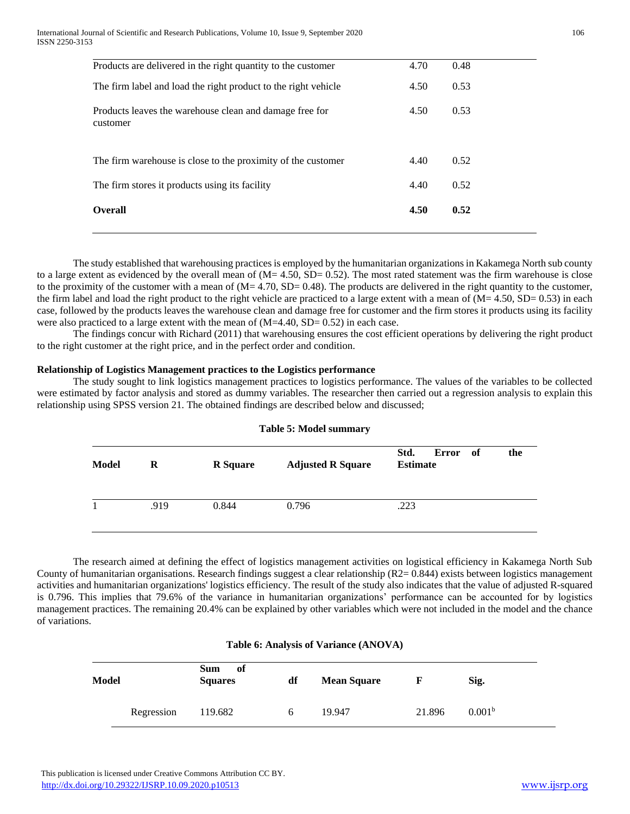| Products are delivered in the right quantity to the customer        | 4.70 | 0.48 |
|---------------------------------------------------------------------|------|------|
| The firm label and load the right product to the right vehicle      | 4.50 | 0.53 |
| Products leaves the warehouse clean and damage free for<br>customer | 4.50 | 0.53 |
| The firm warehouse is close to the proximity of the customer        | 4.40 | 0.52 |
| The firm stores it products using its facility                      | 4.40 | 0.52 |
| <b>Overall</b>                                                      | 4.50 | 0.52 |
|                                                                     |      |      |

 The study established that warehousing practices is employed by the humanitarian organizations in Kakamega North sub county to a large extent as evidenced by the overall mean of  $(M= 4.50, SD= 0.52)$ . The most rated statement was the firm warehouse is close to the proximity of the customer with a mean of  $(M= 4.70, SD= 0.48)$ . The products are delivered in the right quantity to the customer, the firm label and load the right product to the right vehicle are practiced to a large extent with a mean of (M= 4.50, SD= 0.53) in each case, followed by the products leaves the warehouse clean and damage free for customer and the firm stores it products using its facility were also practiced to a large extent with the mean of  $(M=4.40, SD= 0.52)$  in each case.

 The findings concur with Richard (2011) that warehousing ensures the cost efficient operations by delivering the right product to the right customer at the right price, and in the perfect order and condition.

## **Relationship of Logistics Management practices to the Logistics performance**

 The study sought to link logistics management practices to logistics performance. The values of the variables to be collected were estimated by factor analysis and stored as dummy variables. The researcher then carried out a regression analysis to explain this relationship using SPSS version 21. The obtained findings are described below and discussed;

| <b>Model</b> | R    | <b>R</b> Square | <b>Adjusted R Square</b> | Std.<br><b>Estimate</b> | Error of | the |
|--------------|------|-----------------|--------------------------|-------------------------|----------|-----|
|              | .919 | 0.844           | 0.796                    | .223                    |          |     |

# **Table 5: Model summary**

 The research aimed at defining the effect of logistics management activities on logistical efficiency in Kakamega North Sub County of humanitarian organisations. Research findings suggest a clear relationship (R2= 0.844) exists between logistics management activities and humanitarian organizations' logistics efficiency. The result of the study also indicates that the value of adjusted R-squared is 0.796. This implies that 79.6% of the variance in humanitarian organizations' performance can be accounted for by logistics management practices. The remaining 20.4% can be explained by other variables which were not included in the model and the chance of variations.

## **Table 6: Analysis of Variance (ANOVA)**

| <b>Model</b> |            | <b>Sum</b><br>of<br><b>Squares</b> | df | <b>Mean Square</b> | ŀ,     | Sig.               |
|--------------|------------|------------------------------------|----|--------------------|--------|--------------------|
|              | Regression | 119.682                            | O  | 19.947             | 21.896 | 0.001 <sup>b</sup> |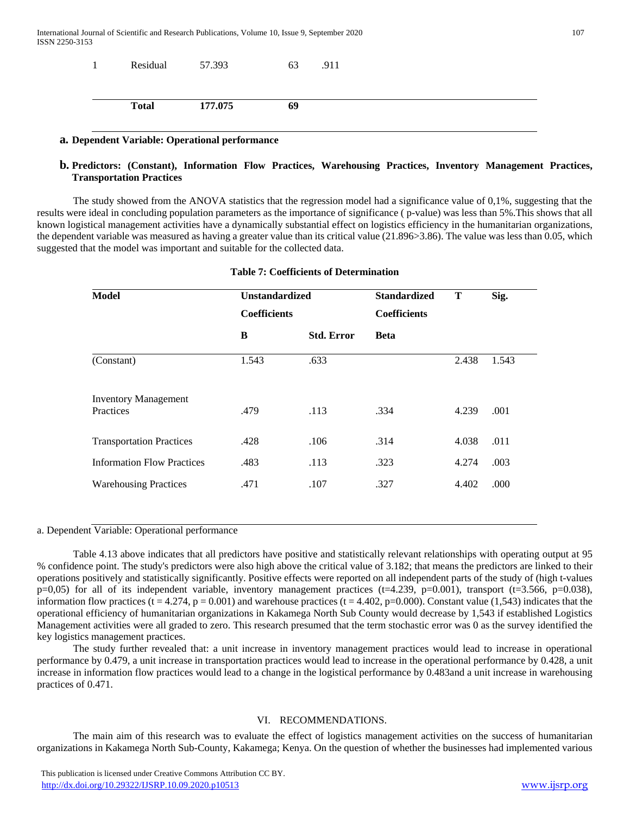| Residual     | 57.393  | 63 | .911 |  |
|--------------|---------|----|------|--|
| <b>Total</b> | 177.075 | 69 |      |  |

# **a. Dependent Variable: Operational performance**

# **b. Predictors: (Constant), Information Flow Practices, Warehousing Practices, Inventory Management Practices, Transportation Practices**

 The study showed from the ANOVA statistics that the regression model had a significance value of 0,1%, suggesting that the results were ideal in concluding population parameters as the importance of significance ( p-value) was less than 5%.This shows that all known logistical management activities have a dynamically substantial effect on logistics efficiency in the humanitarian organizations, the dependent variable was measured as having a greater value than its critical value (21.896>3.86). The value was less than 0.05, which suggested that the model was important and suitable for the collected data.

| Model                                    | <b>Unstandardized</b><br><b>Coefficients</b> |                   | <b>Standardized</b><br><b>Coefficients</b> | Т     | Sig.  |
|------------------------------------------|----------------------------------------------|-------------------|--------------------------------------------|-------|-------|
|                                          | B                                            | <b>Std. Error</b> | <b>Beta</b>                                |       |       |
| (Constant)                               | 1.543                                        | .633              |                                            | 2.438 | 1.543 |
| <b>Inventory Management</b><br>Practices | .479                                         | .113              | .334                                       | 4.239 | .001  |
| <b>Transportation Practices</b>          | .428                                         | .106              | .314                                       | 4.038 | .011  |
| <b>Information Flow Practices</b>        | .483                                         | .113              | .323                                       | 4.274 | .003  |
| <b>Warehousing Practices</b>             | .471                                         | .107              | .327                                       | 4.402 | .000  |

# **Table 7: Coefficients of Determination**

## a. Dependent Variable: Operational performance

 Table 4.13 above indicates that all predictors have positive and statistically relevant relationships with operating output at 95 % confidence point. The study's predictors were also high above the critical value of 3.182; that means the predictors are linked to their operations positively and statistically significantly. Positive effects were reported on all independent parts of the study of (high t-values  $p=0,05$  for all of its independent variable, inventory management practices (t=4.239, p=0.001), transport (t=3.566, p=0.038), information flow practices (t = 4.274, p = 0.001) and warehouse practices (t = 4.402, p=0.000). Constant value (1,543) indicates that the operational efficiency of humanitarian organizations in Kakamega North Sub County would decrease by 1,543 if established Logistics Management activities were all graded to zero. This research presumed that the term stochastic error was 0 as the survey identified the key logistics management practices.

 The study further revealed that: a unit increase in inventory management practices would lead to increase in operational performance by 0.479, a unit increase in transportation practices would lead to increase in the operational performance by 0.428, a unit increase in information flow practices would lead to a change in the logistical performance by 0.483and a unit increase in warehousing practices of 0.471.

# VI. RECOMMENDATIONS.

 The main aim of this research was to evaluate the effect of logistics management activities on the success of humanitarian organizations in Kakamega North Sub-County, Kakamega; Kenya. On the question of whether the businesses had implemented various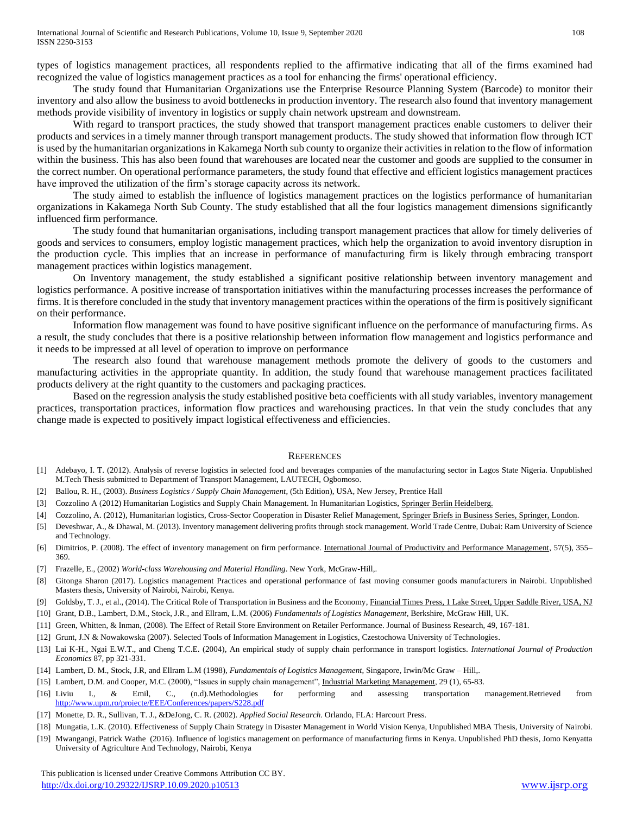types of logistics management practices, all respondents replied to the affirmative indicating that all of the firms examined had recognized the value of logistics management practices as a tool for enhancing the firms' operational efficiency.

 The study found that Humanitarian Organizations use the Enterprise Resource Planning System (Barcode) to monitor their inventory and also allow the business to avoid bottlenecks in production inventory. The research also found that inventory management methods provide visibility of inventory in logistics or supply chain network upstream and downstream.

 With regard to transport practices, the study showed that transport management practices enable customers to deliver their products and services in a timely manner through transport management products. The study showed that information flow through ICT is used by the humanitarian organizations in Kakamega North sub county to organize their activities in relation to the flow of information within the business. This has also been found that warehouses are located near the customer and goods are supplied to the consumer in the correct number. On operational performance parameters, the study found that effective and efficient logistics management practices have improved the utilization of the firm's storage capacity across its network.

 The study aimed to establish the influence of logistics management practices on the logistics performance of humanitarian organizations in Kakamega North Sub County. The study established that all the four logistics management dimensions significantly influenced firm performance.

 The study found that humanitarian organisations, including transport management practices that allow for timely deliveries of goods and services to consumers, employ logistic management practices, which help the organization to avoid inventory disruption in the production cycle. This implies that an increase in performance of manufacturing firm is likely through embracing transport management practices within logistics management.

 On Inventory management, the study established a significant positive relationship between inventory management and logistics performance. A positive increase of transportation initiatives within the manufacturing processes increases the performance of firms. It is therefore concluded in the study that inventory management practices within the operations of the firm is positively significant on their performance.

 Information flow management was found to have positive significant influence on the performance of manufacturing firms. As a result, the study concludes that there is a positive relationship between information flow management and logistics performance and it needs to be impressed at all level of operation to improve on performance

 The research also found that warehouse management methods promote the delivery of goods to the customers and manufacturing activities in the appropriate quantity. In addition, the study found that warehouse management practices facilitated products delivery at the right quantity to the customers and packaging practices.

 Based on the regression analysis the study established positive beta coefficients with all study variables, inventory management practices, transportation practices, information flow practices and warehousing practices. In that vein the study concludes that any change made is expected to positively impact logistical effectiveness and efficiencies.

## **REFERENCES**

- [1] Adebayo, I. T. (2012). Analysis of reverse logistics in selected food and beverages companies of the manufacturing sector in Lagos State Nigeria. Unpublished M.Tech Thesis submitted to Department of Transport Management, LAUTECH, Ogbomoso.
- [2] Ballou, R. H., (2003). *Business Logistics / Supply Chain Management*, (5th Edition), USA, New Jersey, Prentice Hall
- [3] Cozzolino A (2012) Humanitarian Logistics and Supply Chain Management. In Humanitarian Logistics, Springer Berlin Heidelberg.
- [4] Cozzolino, A. (2012), Humanitarian logistics, Cross-Sector Cooperation in Disaster Relief Management, Springer Briefs in Business Series, Springer, London.
- [5] Deveshwar, A., & Dhawal, M. (2013). Inventory management delivering profits through stock management. World Trade Centre, Dubai: Ram University of Science and Technology.
- [6] Dimitrios, P. (2008). The effect of inventory management on firm performance. International Journal of Productivity and Performance Management, 57(5), 355– 369.
- [7] Frazelle, E., (2002) *World-class Warehousing and Material Handling*. New York, McGraw-Hill,.
- [8] Gitonga Sharon (2017). Logistics management Practices and operational performance of fast moving consumer goods manufacturers in Nairobi. Unpublished Masters thesis, University of Nairobi, Nairobi, Kenya.
- [9] Goldsby, T. J., et al., (2014). The Critical Role of Transportation in Business and the Economy, Financial Times Press, 1 Lake Street, Upper Saddle River, USA, NJ
- [10] Grant, D.B., Lambert, D.M., Stock, J.R., and Ellram, L.M. (2006) *Fundamentals of Logistics Management*, Berkshire, McGraw Hill, UK.
- [11] Green, Whitten, & Inman, (2008). The Effect of Retail Store Environment on Retailer Performance. Journal of Business Research, 49, 167-181.
- [12] Grunt, J.N & Nowakowska (2007). Selected Tools of Information Management in Logistics, Czestochowa University of Technologies.
- [13] Lai K-H., Ngai E.W.T., and Cheng T.C.E. (2004), An empirical study of supply chain performance in transport logistics. *International Journal of Production Economics* 87, pp 321-331.
- [14] Lambert, D. M., Stock, J.R, and Ellram L.M (1998), *Fundamentals of Logistics Management*, Singapore, Irwin/Mc Graw Hill,.
- [15] Lambert, D.M. and Cooper, M.C. (2000), "Issues in supply chain management", Industrial Marketing Management, 29 (1), 65-83.
- [16] Liviu I., & Emil, C., (n.d).Methodologies for performing and assessing transportation management.Retrieved from <http://www.upm.ro/proiecte/EEE/Conferences/papers/S228.pdf>
- [17] Monette, D. R., Sullivan, T. J., &DeJong, C. R. (2002). *Applied Social Research*. Orlando, FLA: Harcourt Press.
- [18] Mungatia, L.K. (2010). Effectiveness of Supply Chain Strategy in Disaster Management in World Vision Kenya, Unpublished MBA Thesis, University of Nairobi.
- [19] Mwangangi, Patrick Wathe (2016). Influence of logistics management on performance of manufacturing firms in Kenya. Unpublished PhD thesis, Jomo Kenyatta University of Agriculture And Technology, Nairobi, Kenya